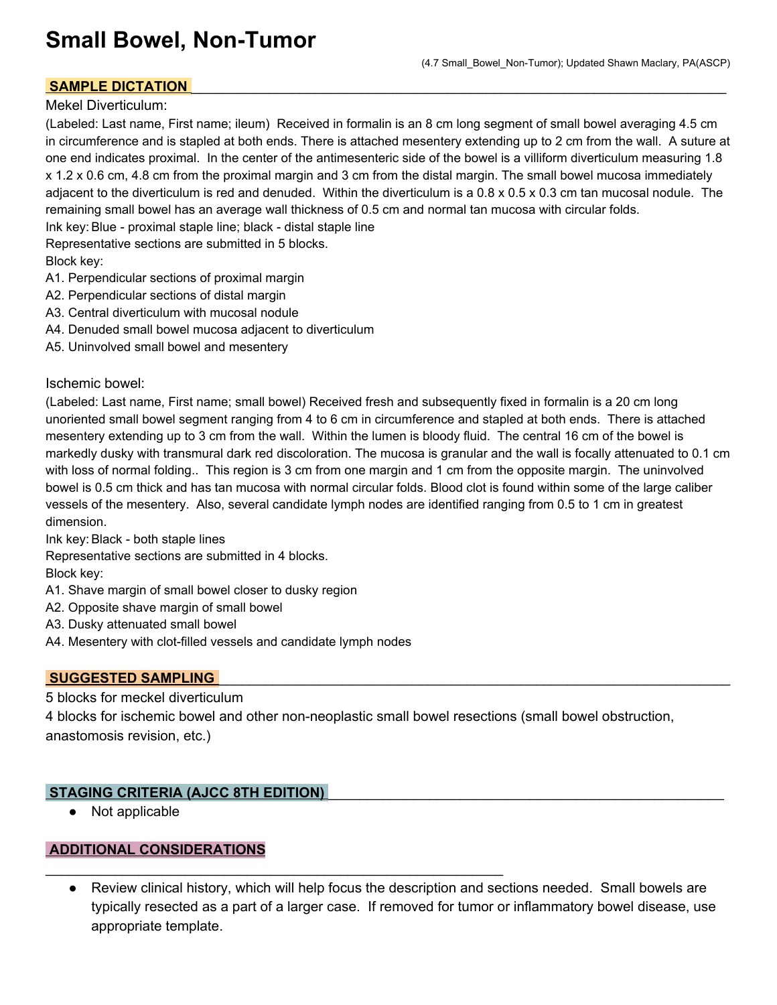## **Small Bowel, Non-Tumor**

### SAMPLE DICTATION

#### Mekel Diverticulum:

(Labeled: Last name, First name; ileum) Received in formalin is an 8 cm long segment of small bowel averaging 4.5 cm in circumference and is stapled at both ends. There is attached mesentery extending up to 2 cm from the wall. A suture at one end indicates proximal. In the center of the antimesenteric side of the bowel is a villiform diverticulum measuring 1.8 x 1.2 x 0.6 cm, 4.8 cm from the proximal margin and 3 cm from the distal margin. The small bowel mucosa immediately adjacent to the diverticulum is red and denuded. Within the diverticulum is a 0.8 x 0.5 x 0.3 cm tan mucosal nodule. The remaining small bowel has an average wall thickness of 0.5 cm and normal tan mucosa with circular folds. Ink key:Blue - proximal staple line; black - distal staple line

Representative sections are submitted in 5 blocks.

Block key:

- A1. Perpendicular sections of proximal margin
- A2. Perpendicular sections of distal margin
- A3. Central diverticulum with mucosal nodule
- A4. Denuded small bowel mucosa adjacent to diverticulum
- A5. Uninvolved small bowel and mesentery

Ischemic bowel:

(Labeled: Last name, First name; small bowel) Received fresh and subsequently fixed in formalin is a 20 cm long unoriented small bowel segment ranging from 4 to 6 cm in circumference and stapled at both ends. There is attached mesentery extending up to 3 cm from the wall. Within the lumen is bloody fluid. The central 16 cm of the bowel is markedly dusky with transmural dark red discoloration. The mucosa is granular and the wall is focally attenuated to 0.1 cm with loss of normal folding.. This region is 3 cm from one margin and 1 cm from the opposite margin. The uninvolved bowel is 0.5 cm thick and has tan mucosa with normal circular folds. Blood clot is found within some of the large caliber vessels of the mesentery. Also, several candidate lymph nodes are identified ranging from 0.5 to 1 cm in greatest dimension.

Ink key: Black - both staple lines

Representative sections are submitted in 4 blocks.

Block key:

- A1. Shave margin of small bowel closer to dusky region
- A2. Opposite shave margin of small bowel
- A3. Dusky attenuated small bowel
- A4. Mesentery with clot-filled vessels and candidate lymph nodes

\_\_\_\_\_\_\_\_\_\_\_\_\_\_\_\_\_\_\_\_\_\_\_\_\_\_\_\_\_\_\_\_\_\_\_\_\_\_\_\_\_\_\_\_\_\_\_\_\_\_\_\_\_\_\_\_\_\_\_

#### **SUGGESTED SAMPLING**

5 blocks for meckel diverticulum

4 blocks for ischemic bowel and other non-neoplastic small bowel resections (small bowel obstruction, anastomosis revision, etc.)

#### STAGING CRITERIA (AJCC 8TH EDITION)

● Not applicable

#### **ADDITIONAL CONSIDERATIONS**

Review clinical history, which will help focus the description and sections needed. Small bowels are typically resected as a part of a larger case. If removed for tumor or inflammatory bowel disease, use appropriate template.